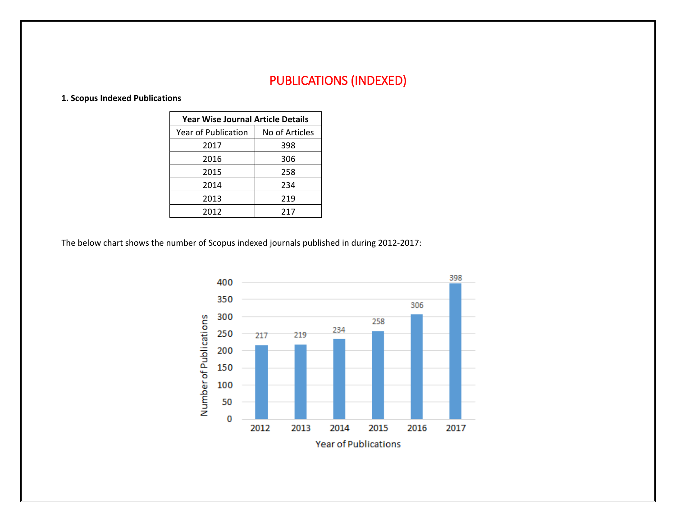## PUBLICATIONS (INDEXED)

## **1. Scopus Indexed Publications**

| <b>Year Wise Journal Article Details</b> |                |  |  |  |  |
|------------------------------------------|----------------|--|--|--|--|
| Year of Publication                      | No of Articles |  |  |  |  |
| 2017                                     | 398            |  |  |  |  |
| 2016                                     | 306            |  |  |  |  |
| 2015                                     | 258            |  |  |  |  |
| 2014                                     | 234            |  |  |  |  |
| 2013                                     | 219            |  |  |  |  |
| 2012                                     | 217            |  |  |  |  |

The below chart shows the number of Scopus indexed journals published in during 2012-2017:

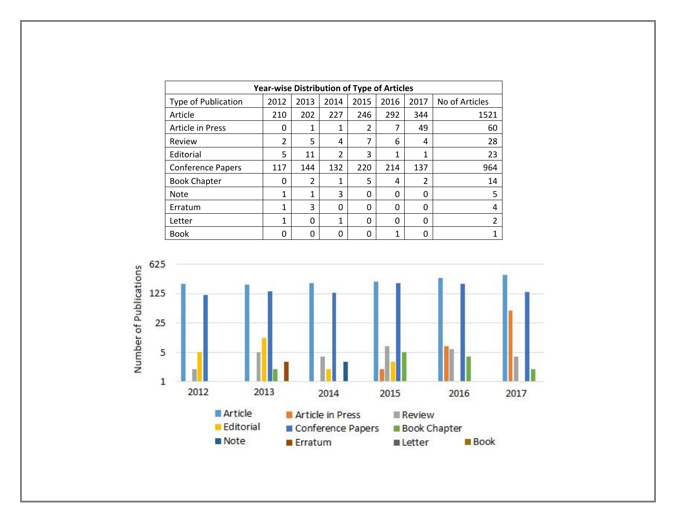| <b>Year-wise Distribution of Type of Articles</b> |                |                |                |                |          |          |                |
|---------------------------------------------------|----------------|----------------|----------------|----------------|----------|----------|----------------|
| <b>Type of Publication</b>                        | 2012           | 2013           | 2014           | 2015           | 2016     | 2017     | No of Articles |
| Article                                           | 210            | 202            | 227            | 246            | 292      | 344      | 1521           |
| <b>Article in Press</b>                           | 0              | 1              | 1              | $\mathfrak{p}$ | 7        | 49       | 60             |
| Review                                            | $\overline{2}$ | 5              | 4              | 7              | 6        | 4        | 28             |
| Editorial                                         | 5              | 11             | $\overline{2}$ | 3              | 1        | 1        | 23             |
| <b>Conference Papers</b>                          | 117            | 144            | 132            | 220            | 214      | 137      | 964            |
| <b>Book Chapter</b>                               | 0              | $\overline{2}$ | 1              | 5              | 4        | 2        | 14             |
| <b>Note</b>                                       | 1              | 1              | 3              | 0              | 0        | 0        | 5              |
| Erratum                                           | 1              | 3              | 0              | $\Omega$       | $\Omega$ | $\Omega$ | 4              |
| Letter                                            | 1              | 0              | 1              | $\Omega$       | $\Omega$ | $\Omega$ | $\overline{2}$ |
| <b>Book</b>                                       | 0              | 0              | 0              | 0              | 1        | 0        | 1              |

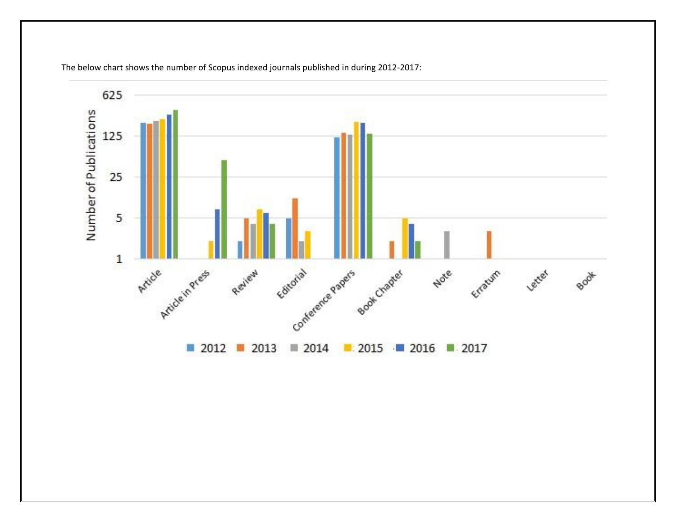

The below chart shows the number of Scopus indexed journals published in during 2012-2017: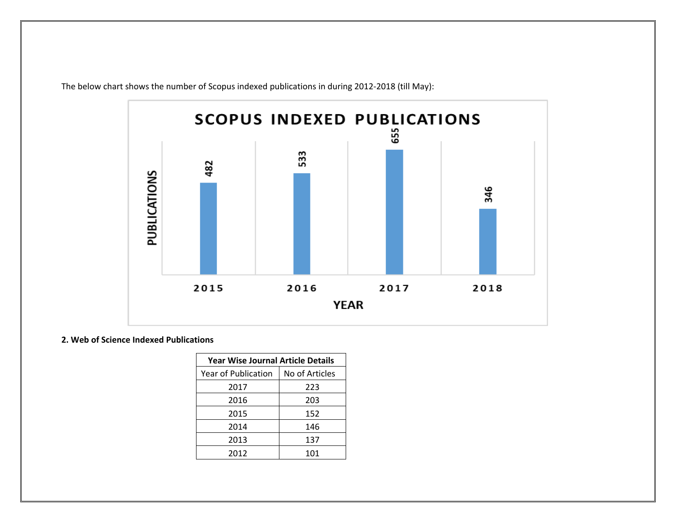

The below chart shows the number of Scopus indexed publications in during 2012-2018 (till May):

## **2. Web of Science Indexed Publications**

| <b>Year Wise Journal Article Details</b> |                |  |  |  |  |
|------------------------------------------|----------------|--|--|--|--|
| Year of Publication                      | No of Articles |  |  |  |  |
| 2017                                     | 223            |  |  |  |  |
| 2016                                     | 203            |  |  |  |  |
| 2015                                     | 152            |  |  |  |  |
| 2014                                     | 146            |  |  |  |  |
| 2013                                     | 137            |  |  |  |  |
| 2012                                     | 101            |  |  |  |  |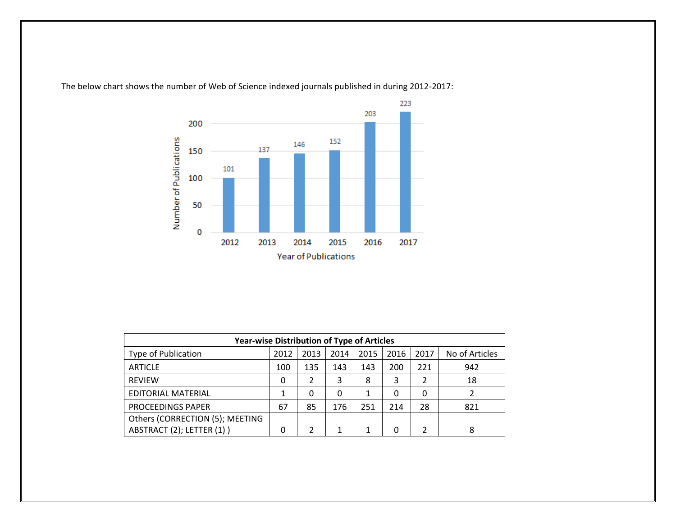

The below chart shows the number of Web of Science indexed journals published in during 2012-2017:

| <b>Year-wise Distribution of Type of Articles</b> |      |      |      |      |      |      |                |
|---------------------------------------------------|------|------|------|------|------|------|----------------|
| <b>Type of Publication</b>                        | 2012 | 2013 | 2014 | 2015 | 2016 | 2017 | No of Articles |
| <b>ARTICLE</b>                                    | 100  | 135  | 143  | 143  | 200  | 221  | 942            |
| <b>REVIEW</b>                                     |      |      | 3    | 8    | 3    |      | 18             |
| <b>EDITORIAL MATERIAL</b>                         |      | 0    | 0    |      |      |      |                |
| PROCEEDINGS PAPER                                 | 67   | 85   | 176  | 251  | 214  | 28   | 821            |
| Others (CORRECTION (5); MEETING                   |      |      |      |      |      |      |                |
| ABSTRACT (2); LETTER (1))                         |      |      |      |      |      |      | 8              |